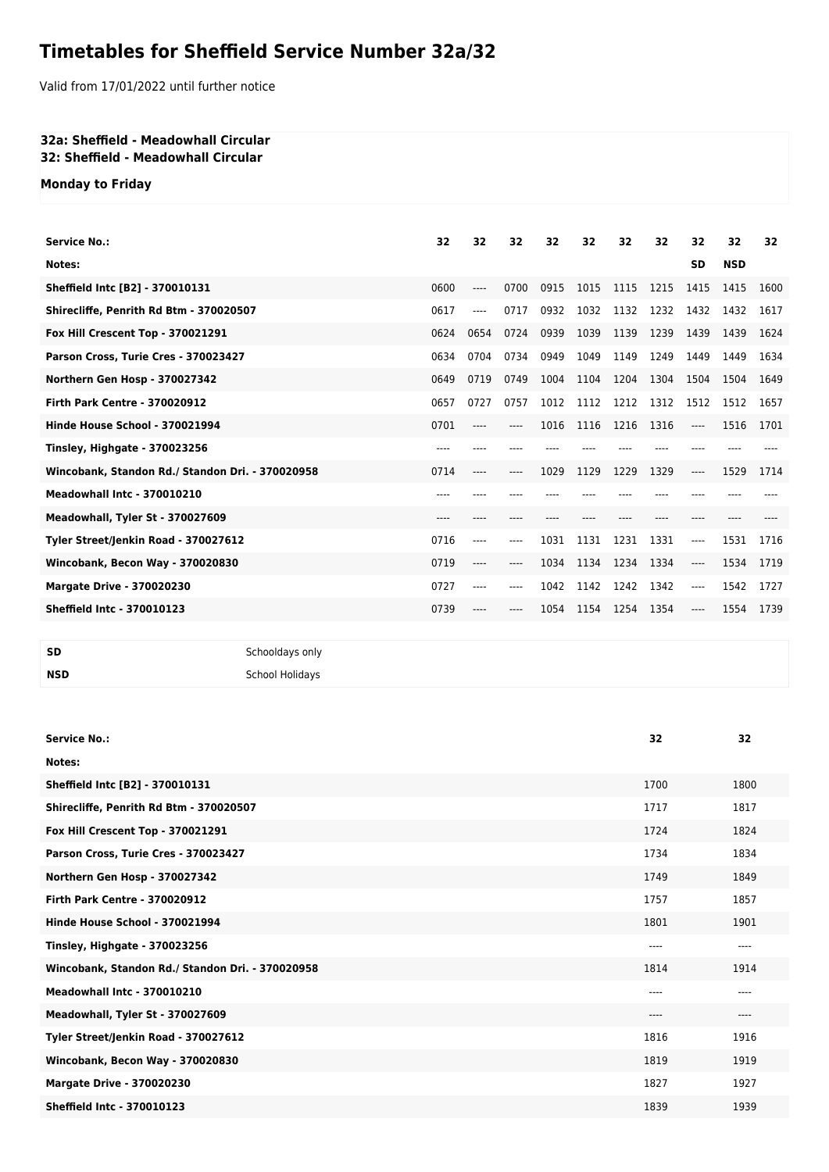## **Timetables for Sheffield Service Number 32a/32**

Valid from 17/01/2022 until further notice

## **32a: Sheffield - Meadowhall Circular 32: Sheffield - Meadowhall Circular**

**Monday to Friday**

| <b>Service No.:</b>                              | 32   | 32   | 32    | 32   | 32   | 32   | 32   | 32        | 32         | 32   |
|--------------------------------------------------|------|------|-------|------|------|------|------|-----------|------------|------|
|                                                  |      |      |       |      |      |      |      |           |            |      |
| Notes:                                           |      |      |       |      |      |      |      | <b>SD</b> | <b>NSD</b> |      |
| Sheffield Intc [B2] - 370010131                  | 0600 | ---- | 0700  | 0915 | 1015 | 1115 | 1215 | 1415      | 1415       | 1600 |
| Shirecliffe, Penrith Rd Btm - 370020507          | 0617 | ---- | 0717  | 0932 | 1032 | 1132 | 1232 | 1432      | 1432       | 1617 |
| Fox Hill Crescent Top - 370021291                | 0624 | 0654 | 0724  | 0939 | 1039 | 1139 | 1239 | 1439      | 1439       | 1624 |
| Parson Cross, Turie Cres - 370023427             | 0634 | 0704 | 0734  | 0949 | 1049 | 1149 | 1249 | 1449      | 1449       | 1634 |
| Northern Gen Hosp - 370027342                    | 0649 | 0719 | 0749  | 1004 | 1104 | 1204 | 1304 | 1504      | 1504       | 1649 |
| <b>Firth Park Centre - 370020912</b>             | 0657 | 0727 | 0757  | 1012 | 1112 | 1212 | 1312 | 1512      | 1512       | 1657 |
| Hinde House School - 370021994                   | 0701 |      | ----  | 1016 | 1116 | 1216 | 1316 | ----      | 1516       | 1701 |
| Tinsley, Highgate - 370023256                    | ---- |      |       |      |      |      |      |           |            |      |
| Wincobank, Standon Rd./ Standon Dri. - 370020958 | 0714 | ---- | ----  | 1029 | 1129 | 1229 | 1329 | ----      | 1529       | 1714 |
| <b>Meadowhall Intc - 370010210</b>               | ---- | ---- |       |      |      |      |      |           |            |      |
| Meadowhall, Tyler St - 370027609                 | ---- |      |       |      |      |      | ---- |           |            |      |
| Tyler Street/Jenkin Road - 370027612             | 0716 | ---- | ----  | 1031 | 1131 | 1231 | 1331 | ----      | 1531       | 1716 |
| Wincobank, Becon Way - 370020830                 | 0719 | ---- | ----  | 1034 | 1134 | 1234 | 1334 | ----      | 1534       | 1719 |
| <b>Margate Drive - 370020230</b>                 | 0727 | ---- | $---$ | 1042 | 1142 | 1242 | 1342 | ----      | 1542       | 1727 |
| <b>Sheffield Intc - 370010123</b>                | 0739 |      |       | 1054 | 1154 | 1254 | 1354 | ----      | 1554       | 1739 |
|                                                  |      |      |       |      |      |      |      |           |            |      |

**SD** Schooldays only

**NSD** School Holidays

| <b>Service No.:</b>                              | 32    | 32    |
|--------------------------------------------------|-------|-------|
| Notes:                                           |       |       |
| Sheffield Intc [B2] - 370010131                  | 1700  | 1800  |
| Shirecliffe, Penrith Rd Btm - 370020507          | 1717  | 1817  |
| Fox Hill Crescent Top - 370021291                | 1724  | 1824  |
| Parson Cross, Turie Cres - 370023427             | 1734  | 1834  |
| Northern Gen Hosp - 370027342                    | 1749  | 1849  |
| <b>Firth Park Centre - 370020912</b>             | 1757  | 1857  |
| Hinde House School - 370021994                   | 1801  | 1901  |
| <b>Tinsley, Highgate - 370023256</b>             | $---$ | $---$ |
| Wincobank, Standon Rd./ Standon Dri. - 370020958 | 1814  | 1914  |
| <b>Meadowhall Intc - 370010210</b>               | ----  | $---$ |
| Meadowhall, Tyler St - 370027609                 | ----  | $---$ |
| Tyler Street/Jenkin Road - 370027612             | 1816  | 1916  |
| Wincobank, Becon Way - 370020830                 | 1819  | 1919  |
| <b>Margate Drive - 370020230</b>                 | 1827  | 1927  |
| <b>Sheffield Intc - 370010123</b>                | 1839  | 1939  |